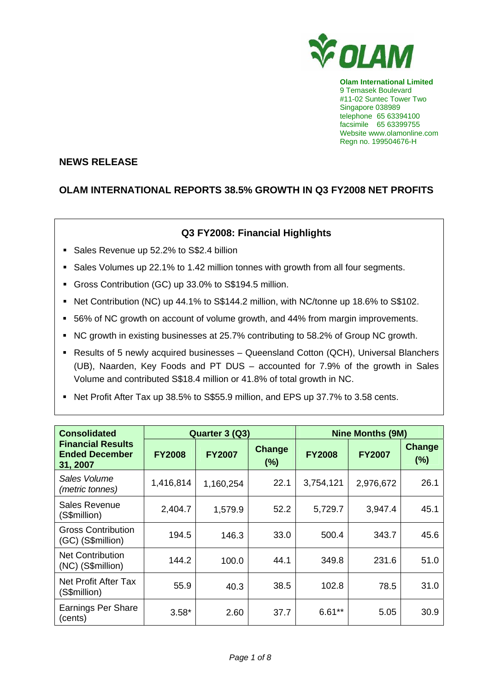

**Olam International Limited**  9 Temasek Boulevard #11-02 Suntec Tower Two Singapore 038989 telephone 65 63394100 facsimile 65 63399755 Website www.olamonline.com Regn no. 199504676-H

## **NEWS RELEASE**

# **OLAM INTERNATIONAL REPORTS 38.5% GROWTH IN Q3 FY2008 NET PROFITS**

## **Q3 FY2008: Financial Highlights**

- Sales Revenue up 52.2% to S\$2.4 billion
- Sales Volumes up 22.1% to 1.42 million tonnes with growth from all four segments.
- Gross Contribution (GC) up 33.0% to S\$194.5 million.
- Net Contribution (NC) up 44.1% to S\$144.2 million, with NC/tonne up 18.6% to S\$102.
- 56% of NC growth on account of volume growth, and 44% from margin improvements.
- NC growth in existing businesses at 25.7% contributing to 58.2% of Group NC growth.
- Results of 5 newly acquired businesses Queensland Cotton (QCH), Universal Blanchers (UB), Naarden, Key Foods and PT DUS – accounted for 7.9% of the growth in Sales Volume and contributed S\$18.4 million or 41.8% of total growth in NC.
- Net Profit After Tax up 38.5% to S\$55.9 million, and EPS up 37.7% to 3.58 cents.

| <b>Consolidated</b>                                           |               | Quarter 3 (Q3) |                  | <b>Nine Months (9M)</b> |               |               |
|---------------------------------------------------------------|---------------|----------------|------------------|-------------------------|---------------|---------------|
| <b>Financial Results</b><br><b>Ended December</b><br>31, 2007 | <b>FY2008</b> | <b>FY2007</b>  | Change<br>$(\%)$ | <b>FY2008</b>           | <b>FY2007</b> | Change<br>(%) |
| Sales Volume<br>(metric tonnes)                               | 1,416,814     | 1,160,254      | 22.1             | 3,754,121               | 2,976,672     | 26.1          |
| Sales Revenue<br>(S\$million)                                 | 2,404.7       | 1,579.9        | 52.2             | 5,729.7                 | 3,947.4       | 45.1          |
| <b>Gross Contribution</b><br>(GC) (S\$million)                | 194.5         | 146.3          | 33.0             | 500.4                   | 343.7         | 45.6          |
| <b>Net Contribution</b><br>(NC) (S\$million)                  | 144.2         | 100.0          | 44.1             | 349.8                   | 231.6         | 51.0          |
| Net Profit After Tax<br>(S\$million)                          | 55.9          | 40.3           | 38.5             | 102.8                   | 78.5          | 31.0          |
| <b>Earnings Per Share</b><br>(cents)                          | $3.58*$       | 2.60           | 37.7             | $6.61**$                | 5.05          | 30.9          |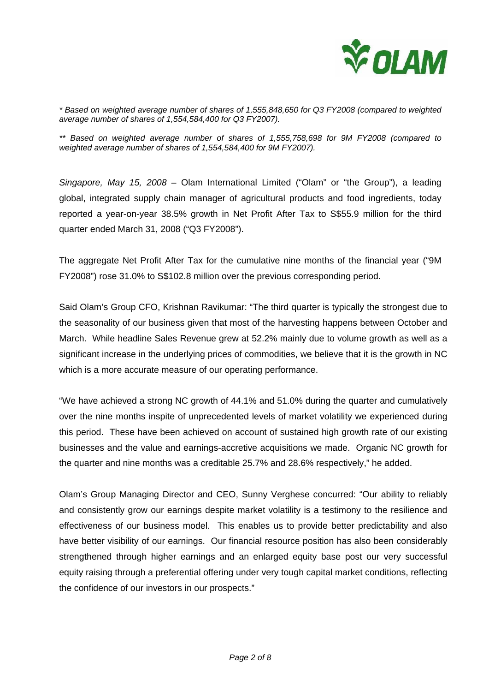

*\* Based on weighted average number of shares of 1,555,848,650 for Q3 FY2008 (compared to weighted average number of shares of 1,554,584,400 for Q3 FY2007).* 

*\*\* Based on weighted average number of shares of 1,555,758,698 for 9M FY2008 (compared to weighted average number of shares of 1,554,584,400 for 9M FY2007).* 

*Singapore, May 15, 2008 –* Olam International Limited ("Olam" or "the Group"), a leading global, integrated supply chain manager of agricultural products and food ingredients, today reported a year-on-year 38.5% growth in Net Profit After Tax to S\$55.9 million for the third quarter ended March 31, 2008 ("Q3 FY2008").

The aggregate Net Profit After Tax for the cumulative nine months of the financial year ("9M FY2008") rose 31.0% to S\$102.8 million over the previous corresponding period.

Said Olam's Group CFO, Krishnan Ravikumar: "The third quarter is typically the strongest due to the seasonality of our business given that most of the harvesting happens between October and March. While headline Sales Revenue grew at 52.2% mainly due to volume growth as well as a significant increase in the underlying prices of commodities, we believe that it is the growth in NC which is a more accurate measure of our operating performance.

"We have achieved a strong NC growth of 44.1% and 51.0% during the quarter and cumulatively over the nine months inspite of unprecedented levels of market volatility we experienced during this period. These have been achieved on account of sustained high growth rate of our existing businesses and the value and earnings-accretive acquisitions we made. Organic NC growth for the quarter and nine months was a creditable 25.7% and 28.6% respectively," he added.

Olam's Group Managing Director and CEO, Sunny Verghese concurred: "Our ability to reliably and consistently grow our earnings despite market volatility is a testimony to the resilience and effectiveness of our business model. This enables us to provide better predictability and also have better visibility of our earnings. Our financial resource position has also been considerably strengthened through higher earnings and an enlarged equity base post our very successful equity raising through a preferential offering under very tough capital market conditions, reflecting the confidence of our investors in our prospects."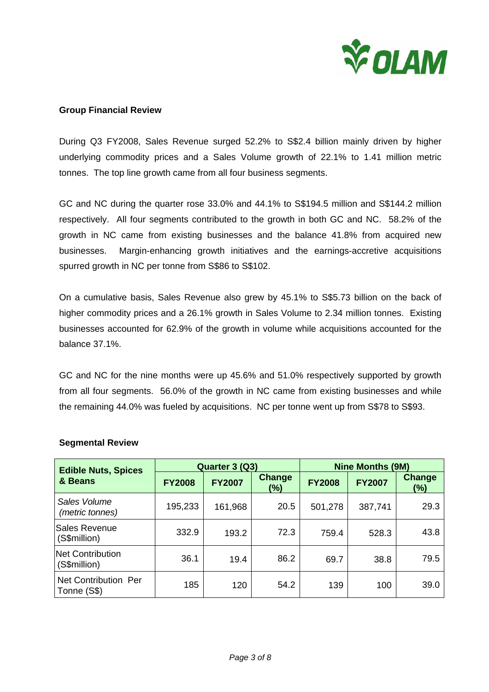

#### **Group Financial Review**

During Q3 FY2008, Sales Revenue surged 52.2% to S\$2.4 billion mainly driven by higher underlying commodity prices and a Sales Volume growth of 22.1% to 1.41 million metric tonnes. The top line growth came from all four business segments.

GC and NC during the quarter rose 33.0% and 44.1% to S\$194.5 million and S\$144.2 million respectively. All four segments contributed to the growth in both GC and NC. 58.2% of the growth in NC came from existing businesses and the balance 41.8% from acquired new businesses. Margin-enhancing growth initiatives and the earnings-accretive acquisitions spurred growth in NC per tonne from S\$86 to S\$102.

On a cumulative basis, Sales Revenue also grew by 45.1% to S\$5.73 billion on the back of higher commodity prices and a 26.1% growth in Sales Volume to 2.34 million tonnes. Existing businesses accounted for 62.9% of the growth in volume while acquisitions accounted for the balance 37.1%.

GC and NC for the nine months were up 45.6% and 51.0% respectively supported by growth from all four segments. 56.0% of the growth in NC came from existing businesses and while the remaining 44.0% was fueled by acquisitions. NC per tonne went up from S\$78 to S\$93.

| <b>Edible Nuts, Spices</b>          | Quarter 3 (Q3) |               |                      | <b>Nine Months (9M)</b> |               |                         |
|-------------------------------------|----------------|---------------|----------------------|-------------------------|---------------|-------------------------|
| & Beans                             | <b>FY2008</b>  | <b>FY2007</b> | <b>Change</b><br>(%) | <b>FY2008</b>           | <b>FY2007</b> | <b>Change</b><br>$(\%)$ |
| Sales Volume<br>(metric tonnes)     | 195,233        | 161,968       | 20.5                 | 501,278                 | 387,741       | 29.3                    |
| Sales Revenue<br>(S\$million)       | 332.9          | 193.2         | 72.3                 | 759.4                   | 528.3         | 43.8                    |
| Net Contribution<br>(S\$million)    | 36.1           | 19.4          | 86.2                 | 69.7                    | 38.8          | 79.5                    |
| Net Contribution Per<br>Tonne (S\$) | 185            | 120           | 54.2                 | 139                     | 100           | 39.0                    |

#### **Segmental Review**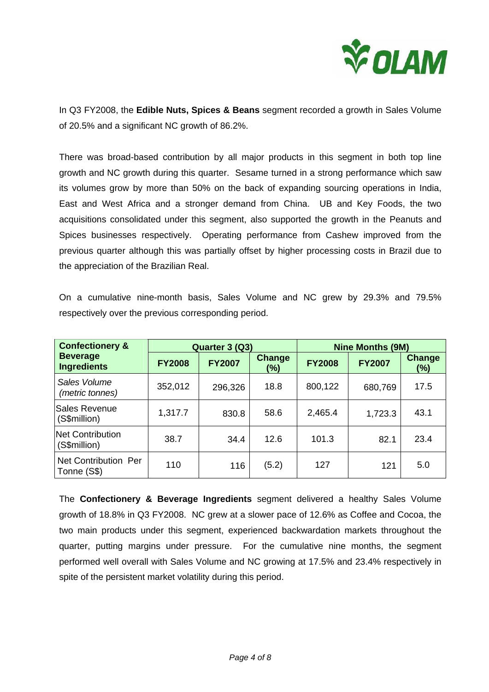

In Q3 FY2008, the **Edible Nuts, Spices & Beans** segment recorded a growth in Sales Volume of 20.5% and a significant NC growth of 86.2%.

There was broad-based contribution by all major products in this segment in both top line growth and NC growth during this quarter. Sesame turned in a strong performance which saw its volumes grow by more than 50% on the back of expanding sourcing operations in India, East and West Africa and a stronger demand from China. UB and Key Foods, the two acquisitions consolidated under this segment, also supported the growth in the Peanuts and Spices businesses respectively. Operating performance from Cashew improved from the previous quarter although this was partially offset by higher processing costs in Brazil due to the appreciation of the Brazilian Real.

On a cumulative nine-month basis, Sales Volume and NC grew by 29.3% and 79.5% respectively over the previous corresponding period.

| <b>Confectionery &amp;</b>              | Quarter 3 (Q3) |               |                      | <b>Nine Months (9M)</b> |               |                         |
|-----------------------------------------|----------------|---------------|----------------------|-------------------------|---------------|-------------------------|
| <b>Beverage</b><br><b>Ingredients</b>   | <b>FY2008</b>  | <b>FY2007</b> | <b>Change</b><br>(%) | <b>FY2008</b>           | <b>FY2007</b> | <b>Change</b><br>$(\%)$ |
| Sales Volume<br>(metric tonnes)         | 352,012        | 296,326       | 18.8                 | 800,122                 | 680,769       | 17.5                    |
| Sales Revenue<br>(S\$million)           | 1,317.7        | 830.8         | 58.6                 | 2,465.4                 | 1,723.3       | 43.1                    |
| <b>Net Contribution</b><br>(S\$million) | 38.7           | 34.4          | 12.6                 | 101.3                   | 82.1          | 23.4                    |
| Net Contribution Per<br>Tonne (S\$)     | 110            | 116           | (5.2)                | 127                     | 121           | 5.0                     |

The **Confectionery & Beverage Ingredients** segment delivered a healthy Sales Volume growth of 18.8% in Q3 FY2008. NC grew at a slower pace of 12.6% as Coffee and Cocoa, the two main products under this segment, experienced backwardation markets throughout the quarter, putting margins under pressure. For the cumulative nine months, the segment performed well overall with Sales Volume and NC growing at 17.5% and 23.4% respectively in spite of the persistent market volatility during this period.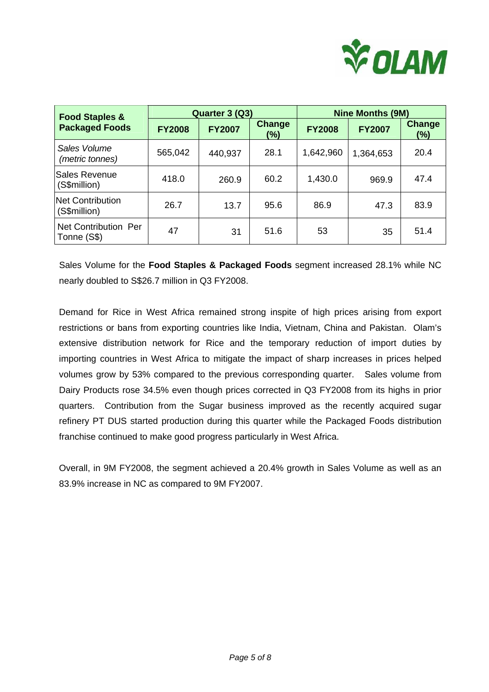

| <b>Food Staples &amp;</b>           | Quarter 3 (Q3) |               |               | <b>Nine Months (9M)</b> |               |                         |
|-------------------------------------|----------------|---------------|---------------|-------------------------|---------------|-------------------------|
| <b>Packaged Foods</b>               | <b>FY2008</b>  | <b>FY2007</b> | Change<br>(%) | <b>FY2008</b>           | <b>FY2007</b> | <b>Change</b><br>$(\%)$ |
| Sales Volume<br>(metric tonnes)     | 565,042        | 440,937       | 28.1          | 1,642,960               | 1,364,653     | 20.4                    |
| Sales Revenue<br>(S\$million)       | 418.0          | 260.9         | 60.2          | 1,430.0                 | 969.9         | 47.4                    |
| Net Contribution<br>(S\$million)    | 26.7           | 13.7          | 95.6          | 86.9                    | 47.3          | 83.9                    |
| Net Contribution Per<br>Tonne (S\$) | 47             | 31            | 51.6          | 53                      | 35            | 51.4                    |

Sales Volume for the **Food Staples & Packaged Foods** segment increased 28.1% while NC nearly doubled to S\$26.7 million in Q3 FY2008.

Demand for Rice in West Africa remained strong inspite of high prices arising from export restrictions or bans from exporting countries like India, Vietnam, China and Pakistan. Olam's extensive distribution network for Rice and the temporary reduction of import duties by importing countries in West Africa to mitigate the impact of sharp increases in prices helped volumes grow by 53% compared to the previous corresponding quarter. Sales volume from Dairy Products rose 34.5% even though prices corrected in Q3 FY2008 from its highs in prior quarters. Contribution from the Sugar business improved as the recently acquired sugar refinery PT DUS started production during this quarter while the Packaged Foods distribution franchise continued to make good progress particularly in West Africa.

Overall, in 9M FY2008, the segment achieved a 20.4% growth in Sales Volume as well as an 83.9% increase in NC as compared to 9M FY2007.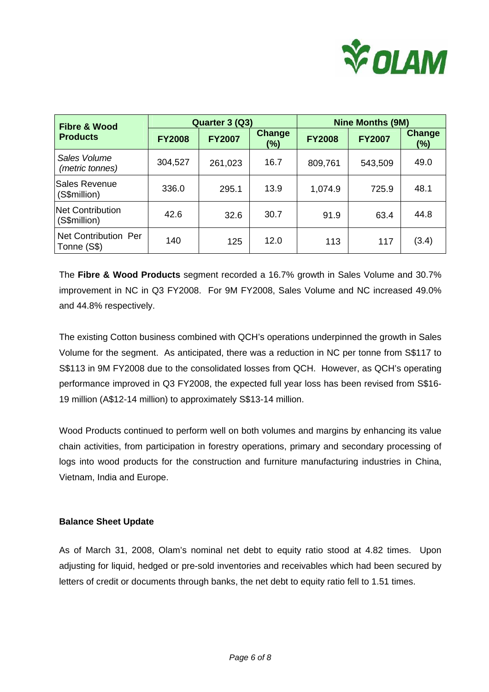

| <b>Fibre &amp; Wood</b>             | Quarter 3 (Q3) |               |                      | <b>Nine Months (9M)</b> |               |                      |
|-------------------------------------|----------------|---------------|----------------------|-------------------------|---------------|----------------------|
| <b>Products</b>                     | <b>FY2008</b>  | <b>FY2007</b> | <b>Change</b><br>(%) | <b>FY2008</b>           | <b>FY2007</b> | <b>Change</b><br>(%) |
| Sales Volume<br>(metric tonnes)     | 304,527        | 261,023       | 16.7                 | 809,761                 | 543,509       | 49.0                 |
| Sales Revenue<br>(S\$million)       | 336.0          | 295.1         | 13.9                 | 1,074.9                 | 725.9         | 48.1                 |
| lNet Contribution<br>(S\$million)   | 42.6           | 32.6          | 30.7                 | 91.9                    | 63.4          | 44.8                 |
| Net Contribution Per<br>Tonne (S\$) | 140            | 125           | 12.0                 | 113                     | 117           | (3.4)                |

The **Fibre & Wood Products** segment recorded a 16.7% growth in Sales Volume and 30.7% improvement in NC in Q3 FY2008. For 9M FY2008, Sales Volume and NC increased 49.0% and 44.8% respectively.

The existing Cotton business combined with QCH's operations underpinned the growth in Sales Volume for the segment. As anticipated, there was a reduction in NC per tonne from S\$117 to S\$113 in 9M FY2008 due to the consolidated losses from QCH. However, as QCH's operating performance improved in Q3 FY2008, the expected full year loss has been revised from S\$16- 19 million (A\$12-14 million) to approximately S\$13-14 million.

Wood Products continued to perform well on both volumes and margins by enhancing its value chain activities, from participation in forestry operations, primary and secondary processing of logs into wood products for the construction and furniture manufacturing industries in China, Vietnam, India and Europe.

#### **Balance Sheet Update**

As of March 31, 2008, Olam's nominal net debt to equity ratio stood at 4.82 times. Upon adjusting for liquid, hedged or pre-sold inventories and receivables which had been secured by letters of credit or documents through banks, the net debt to equity ratio fell to 1.51 times.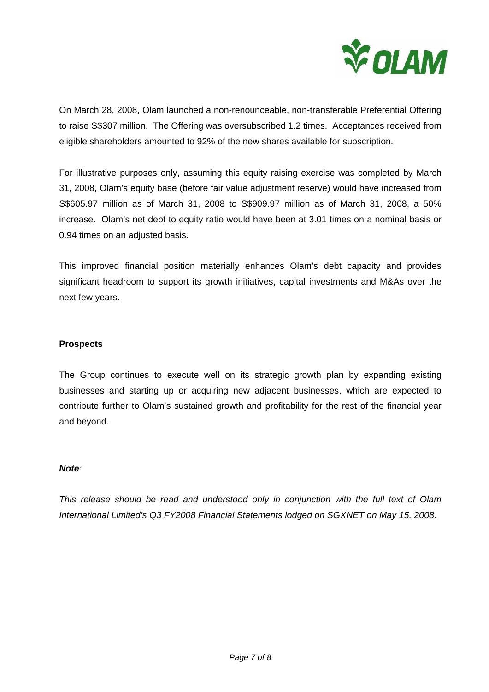

On March 28, 2008, Olam launched a non-renounceable, non-transferable Preferential Offering to raise S\$307 million. The Offering was oversubscribed 1.2 times. Acceptances received from eligible shareholders amounted to 92% of the new shares available for subscription.

For illustrative purposes only, assuming this equity raising exercise was completed by March 31, 2008, Olam's equity base (before fair value adjustment reserve) would have increased from S\$605.97 million as of March 31, 2008 to S\$909.97 million as of March 31, 2008, a 50% increase. Olam's net debt to equity ratio would have been at 3.01 times on a nominal basis or 0.94 times on an adjusted basis.

This improved financial position materially enhances Olam's debt capacity and provides significant headroom to support its growth initiatives, capital investments and M&As over the next few years.

### **Prospects**

The Group continues to execute well on its strategic growth plan by expanding existing businesses and starting up or acquiring new adjacent businesses, which are expected to contribute further to Olam's sustained growth and profitability for the rest of the financial year and beyond.

#### *Note:*

*This release should be read and understood only in conjunction with the full text of Olam International Limited's Q3 FY2008 Financial Statements lodged on SGXNET on May 15, 2008.*